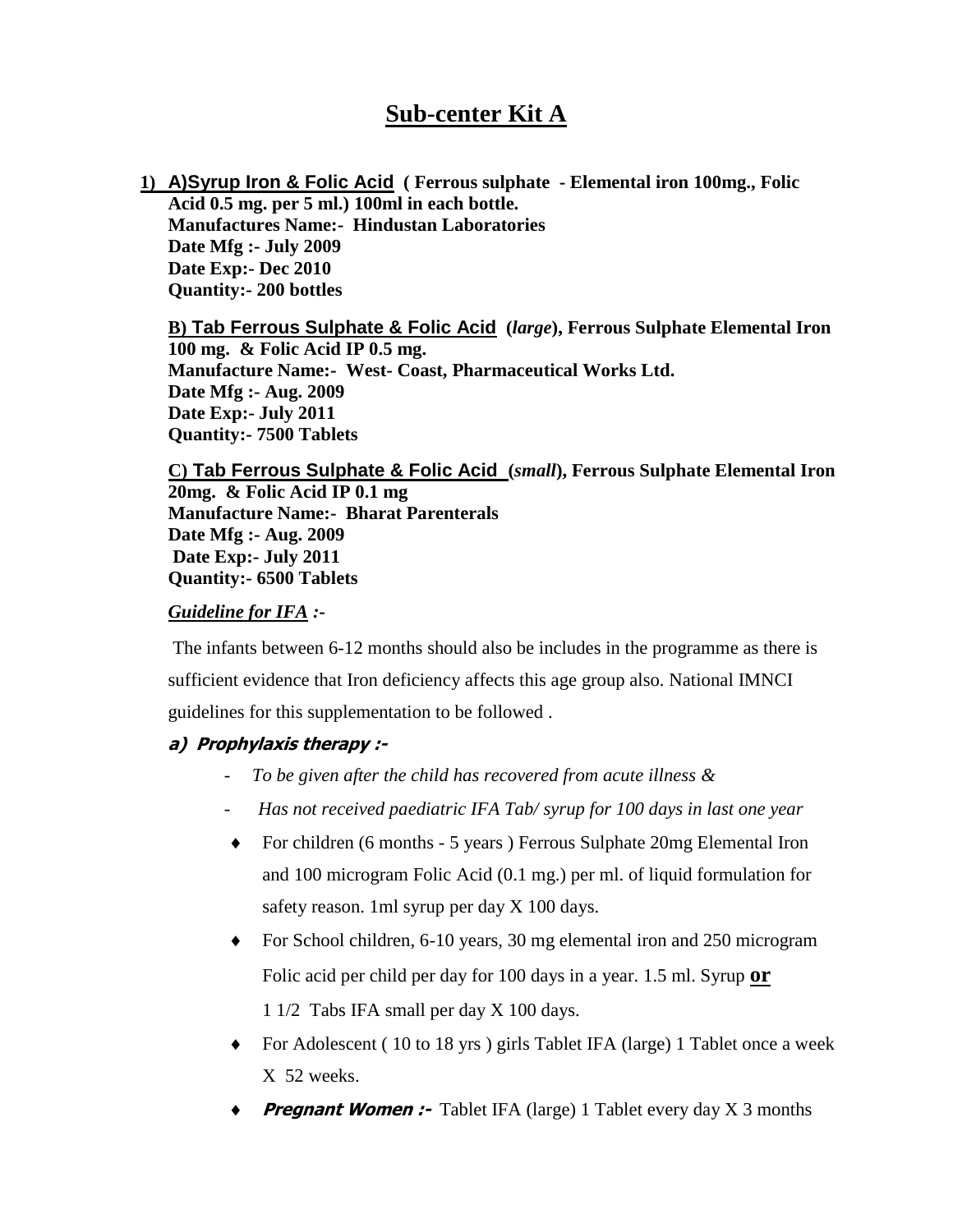# **Sub-center Kit A**

**1) A)Syrup Iron & Folic Acid ( Ferrous sulphate - Elemental iron 100mg., Folic Acid 0.5 mg. per 5 ml.) 100ml in each bottle. Manufactures Name:- Hindustan Laboratories Date Mfg :- July 2009 Date Exp:- Dec 2010 Quantity:- 200 bottles**

**B) Tab Ferrous Sulphate & Folic Acid (***large***), Ferrous Sulphate Elemental Iron 100 mg. & Folic Acid IP 0.5 mg. Manufacture Name:- West- Coast, Pharmaceutical Works Ltd. Date Mfg :- Aug. 2009 Date Exp:- July 2011 Quantity:- 7500 Tablets**

**C) Tab Ferrous Sulphate & Folic Acid (***small***), Ferrous Sulphate Elemental Iron 20mg. & Folic Acid IP 0.1 mg Manufacture Name:- Bharat Parenterals Date Mfg :- Aug. 2009 Date Exp:- July 2011 Quantity:- 6500 Tablets**

#### *Guideline for IFA :-*

The infants between 6-12 months should also be includes in the programme as there is sufficient evidence that Iron deficiency affects this age group also. National IMNCI guidelines for this supplementation to be followed .

### **a) Prophylaxis therapy :-**

- *To be given after the child has recovered from acute illness &*
- *Has not received paediatric IFA Tab/ syrup for 100 days in last one year*
- For children (6 months 5 years ) Ferrous Sulphate 20mg Elemental Iron and 100 microgram Folic Acid (0.1 mg.) per ml. of liquid formulation for safety reason. 1ml syrup per day X 100 days.
- For School children, 6-10 years, 30 mg elemental iron and 250 microgram Folic acid per child per day for 100 days in a year. 1.5 ml. Syrup **or** 1 1/2 Tabs IFA small per day X 100 days.
- For Adolescent ( 10 to 18 yrs ) girls Tablet IFA (large) 1 Tablet once a week X 52 weeks.
- **Pregnant Women :-** Tablet IFA (large) 1 Tablet every day X 3 months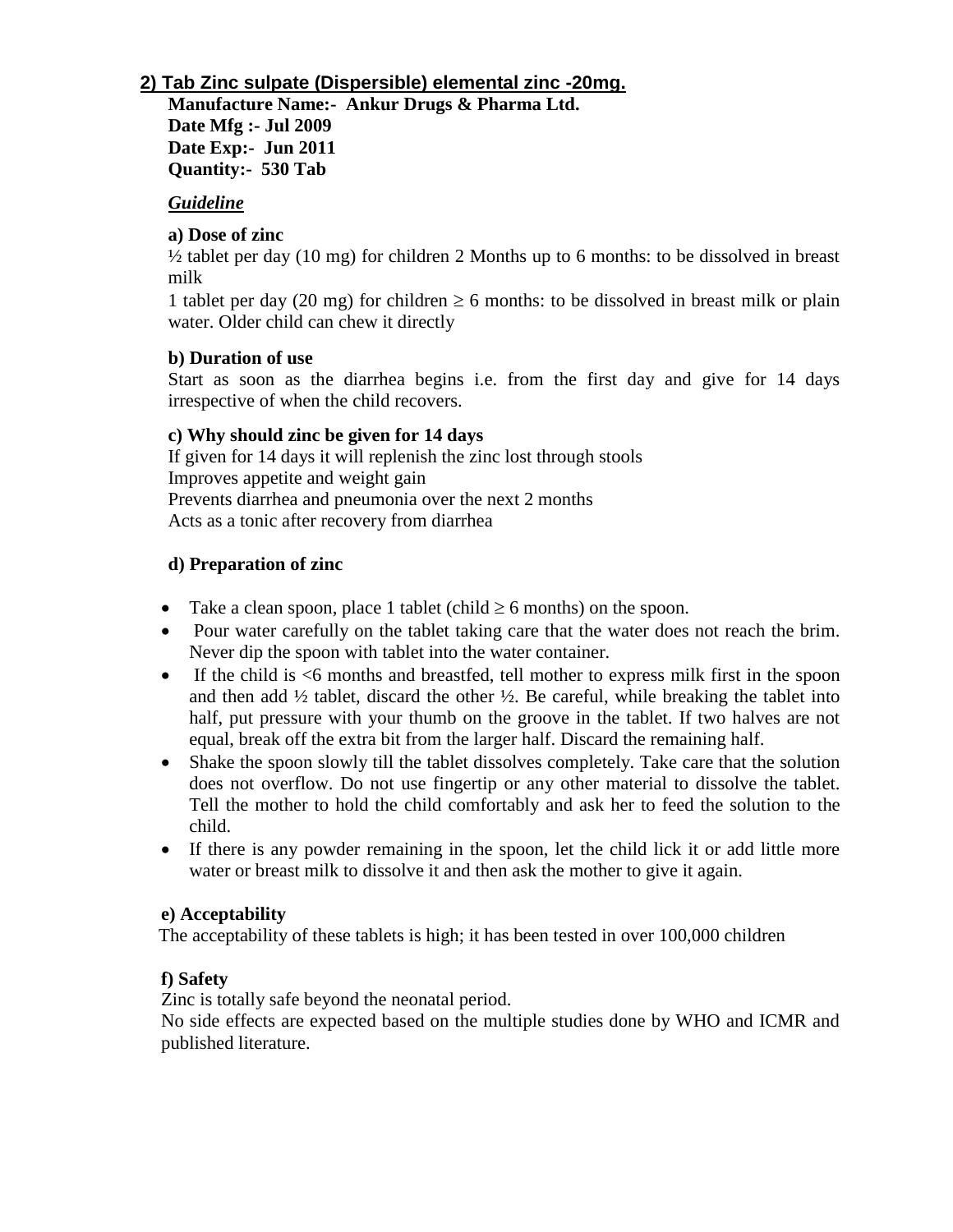### **2) Tab Zinc sulpate (Dispersible) elemental zinc -20mg.**

**Manufacture Name:- Ankur Drugs & Pharma Ltd. Date Mfg :- Jul 2009**

**Date Exp:- Jun 2011 Quantity:- 530 Tab**

#### *Guideline*

### **a) Dose of zinc**

 $\frac{1}{2}$  tablet per day (10 mg) for children 2 Months up to 6 months: to be dissolved in breast milk

1 tablet per day (20 mg) for children  $\geq 6$  months: to be dissolved in breast milk or plain water. Older child can chew it directly

### **b) Duration of use**

Start as soon as the diarrhea begins i.e. from the first day and give for 14 days irrespective of when the child recovers.

#### **c) Why should zinc be given for 14 days**

If given for 14 days it will replenish the zinc lost through stools Improves appetite and weight gain Prevents diarrhea and pneumonia over the next 2 months Acts as a tonic after recovery from diarrhea

### **d) Preparation of zinc**

- Take a clean spoon, place 1 tablet (child  $\geq 6$  months) on the spoon.
- Pour water carefully on the tablet taking care that the water does not reach the brim. Never dip the spoon with tablet into the water container.
- If the child is <6 months and breastfed, tell mother to express milk first in the spoon and then add  $\frac{1}{2}$  tablet, discard the other  $\frac{1}{2}$ . Be careful, while breaking the tablet into half, put pressure with your thumb on the groove in the tablet. If two halves are not equal, break off the extra bit from the larger half. Discard the remaining half.
- Shake the spoon slowly till the tablet dissolves completely. Take care that the solution does not overflow. Do not use fingertip or any other material to dissolve the tablet. Tell the mother to hold the child comfortably and ask her to feed the solution to the child.
- If there is any powder remaining in the spoon, let the child lick it or add little more water or breast milk to dissolve it and then ask the mother to give it again.

#### **e) Acceptability**

The acceptability of these tablets is high; it has been tested in over 100,000 children

### **f) Safety**

Zinc is totally safe beyond the neonatal period.

No side effects are expected based on the multiple studies done by WHO and ICMR and published literature.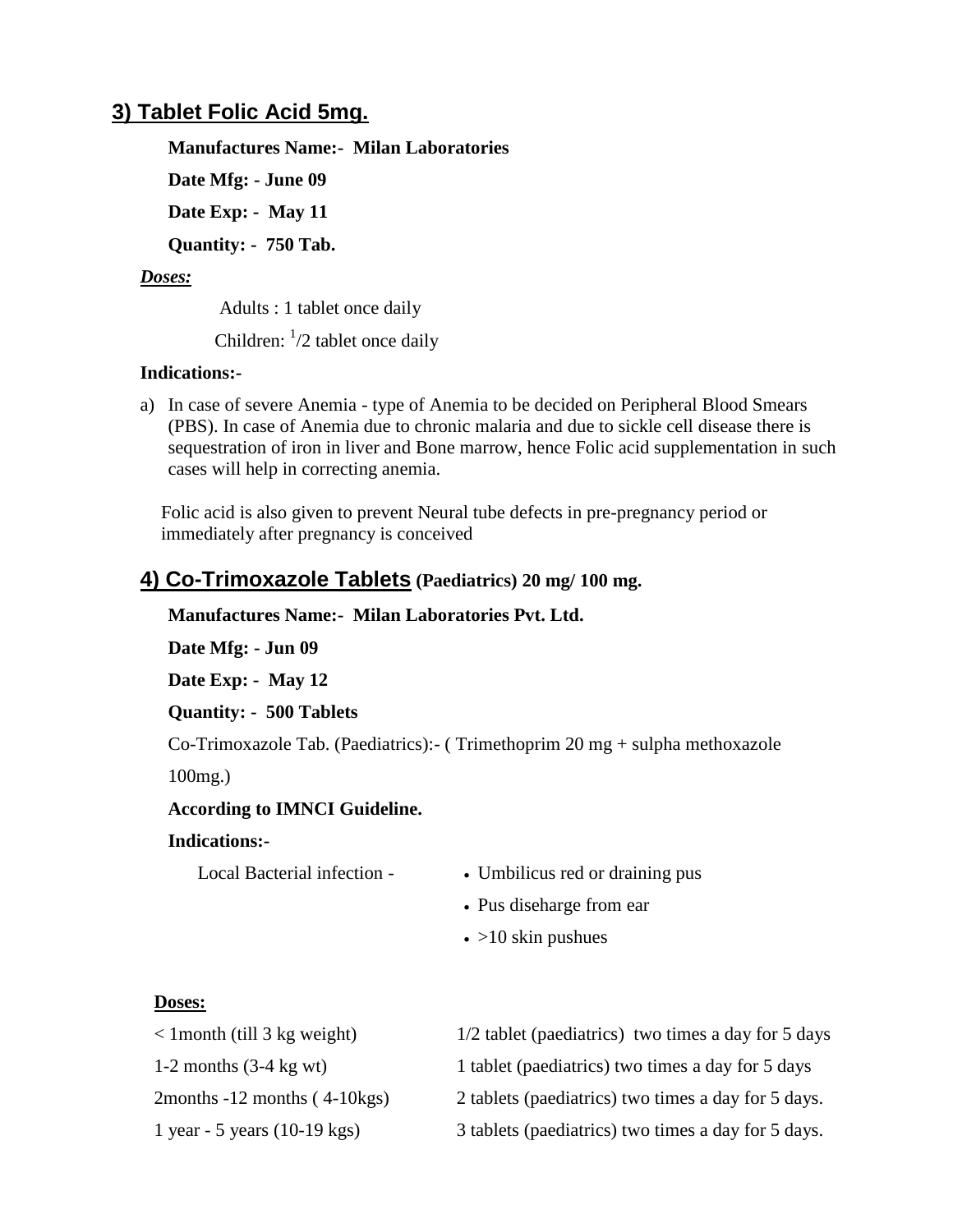## **3) Tablet Folic Acid 5mg.**

### **Manufactures Name:- Milan Laboratories**

**Date Mfg: - June 09**

**Date Exp: - May 11**

**Quantity: - 750 Tab.**

### *Doses:*

Adults : 1 tablet once daily

Children:  $\frac{1}{2}$  tablet once daily

### **Indications:-**

a) In case of severe Anemia - type of Anemia to be decided on Peripheral Blood Smears (PBS). In case of Anemia due to chronic malaria and due to sickle cell disease there is sequestration of iron in liver and Bone marrow, hence Folic acid supplementation in such cases will help in correcting anemia.

Folic acid is also given to prevent Neural tube defects in pre-pregnancy period or immediately after pregnancy is conceived

# **4) Co-Trimoxazole Tablets (Paediatrics) 20 mg/ 100 mg.**

### **Manufactures Name:- Milan Laboratories Pvt. Ltd.**

**Date Mfg: - Jun 09**

**Date Exp: - May 12**

### **Quantity: - 500 Tablets**

Co-Trimoxazole Tab. (Paediatrics):- ( Trimethoprim 20 mg + sulpha methoxazole

100mg.)

### **According to IMNCI Guideline.**

### **Indications:-**

- Local Bacterial infection <br> Umbilicus red or draining pus
	- Pus diseharge from ear
	- $\cdot$  >10 skin pushues

### **Doses:**

| $\langle$ 1 month (till 3 kg weight)   | 1/2 tablet (paediatrics) two times a day for 5 days |
|----------------------------------------|-----------------------------------------------------|
| 1-2 months $(3-4 \text{ kg wt})$       | 1 tablet (paediatrics) two times a day for 5 days   |
| 2months $-12$ months $(4-10kgs)$       | 2 tablets (paediatrics) two times a day for 5 days. |
| 1 year - 5 years $(10-19 \text{ kgs})$ | 3 tablets (paediatrics) two times a day for 5 days. |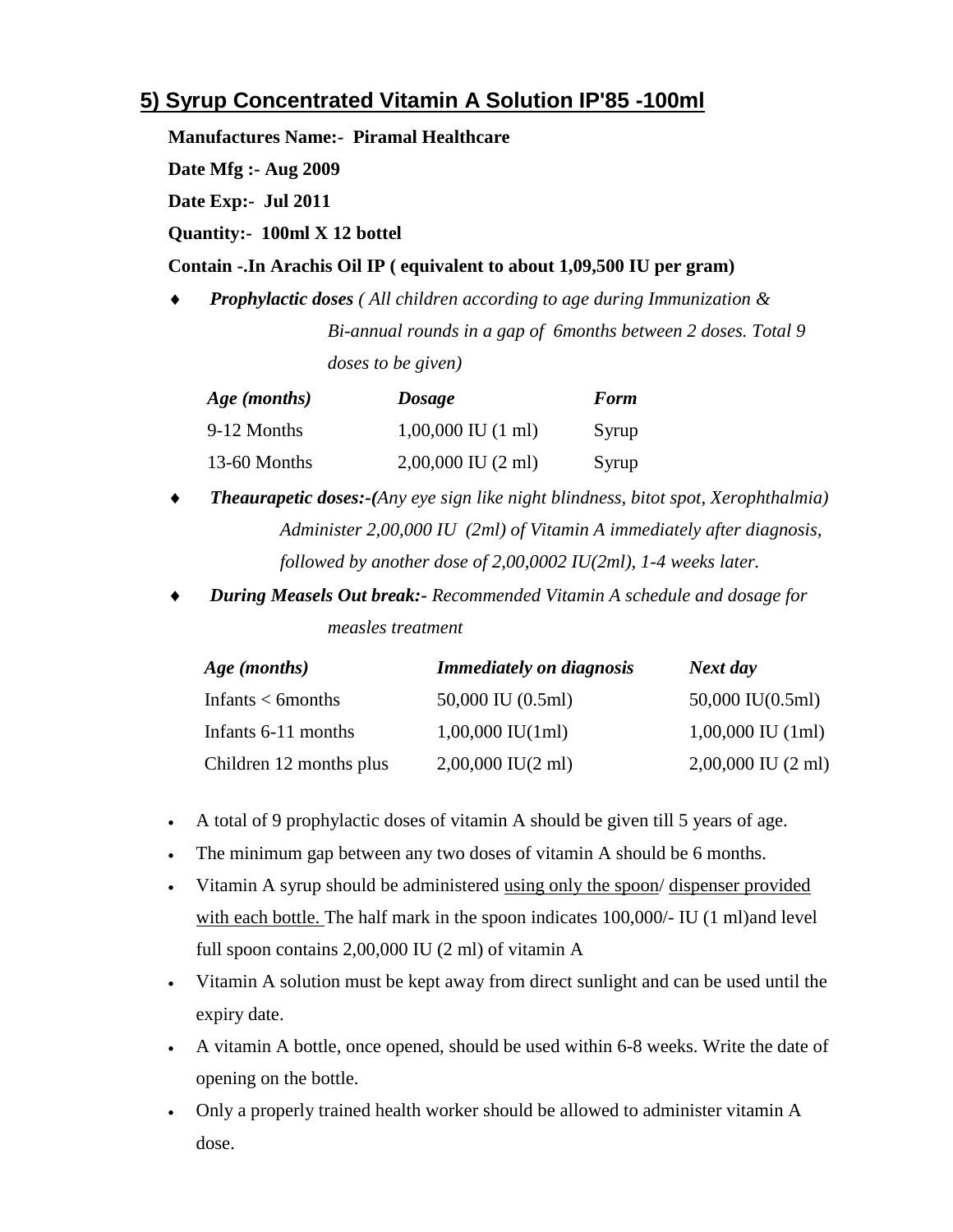# **5) Syrup Concentrated Vitamin A Solution IP'85 -100ml**

**Manufactures Name:- Piramal Healthcare**

**Date Mfg :- Aug 2009**

**Date Exp:- Jul 2011**

**Quantity:- 100ml X 12 bottel**

#### **Contain -.In Arachis Oil IP ( equivalent to about 1,09,500 IU per gram)**

 *Prophylactic doses ( All children according to age during Immunization & Bi-annual rounds in a gap of 6months between 2 doses. Total 9 doses to be given)*

| Age (months) | <b>Dosage</b>                  | <b>Form</b> |
|--------------|--------------------------------|-------------|
| 9-12 Months  | $1,00,000$ IU $(1 \text{ ml})$ | Syrup       |
| 13-60 Months | $2,00,000$ IU $(2 \text{ ml})$ | Syrup       |

- *Theaurapetic doses:-(Any eye sign like night blindness, bitot spot, Xerophthalmia) Administer 2,00,000 IU (2ml) of Vitamin A immediately after diagnosis, followed by another dose of 2,00,0002 IU(2ml), 1-4 weeks later.*
- *During Measels Out break:- Recommended Vitamin A schedule and dosage for measles treatment*

| Age (months)            | <b>Immediately on diagnosis</b> | Next day                       |
|-------------------------|---------------------------------|--------------------------------|
| Infants $<$ 6 months    | 50,000 IU (0.5ml)               | $50,000$ IU $(0.5$ ml)         |
| Infants 6-11 months     | $1,00,000$ IU(1ml)              | $1,00,000$ IU $(1ml)$          |
| Children 12 months plus | $2,00,000$ IU(2 ml)             | $2,00,000$ IU $(2 \text{ ml})$ |

- A total of 9 prophylactic doses of vitamin A should be given till 5 years of age.
- The minimum gap between any two doses of vitamin A should be 6 months.
- Vitamin A syrup should be administered using only the spoon/ dispenser provided with each bottle. The half mark in the spoon indicates 100,000/- IU (1 ml)and level full spoon contains 2,00,000 IU (2 ml) of vitamin A
- Vitamin A solution must be kept away from direct sunlight and can be used until the expiry date.
- A vitamin A bottle, once opened, should be used within 6-8 weeks. Write the date of opening on the bottle.
- Only a properly trained health worker should be allowed to administer vitamin A dose.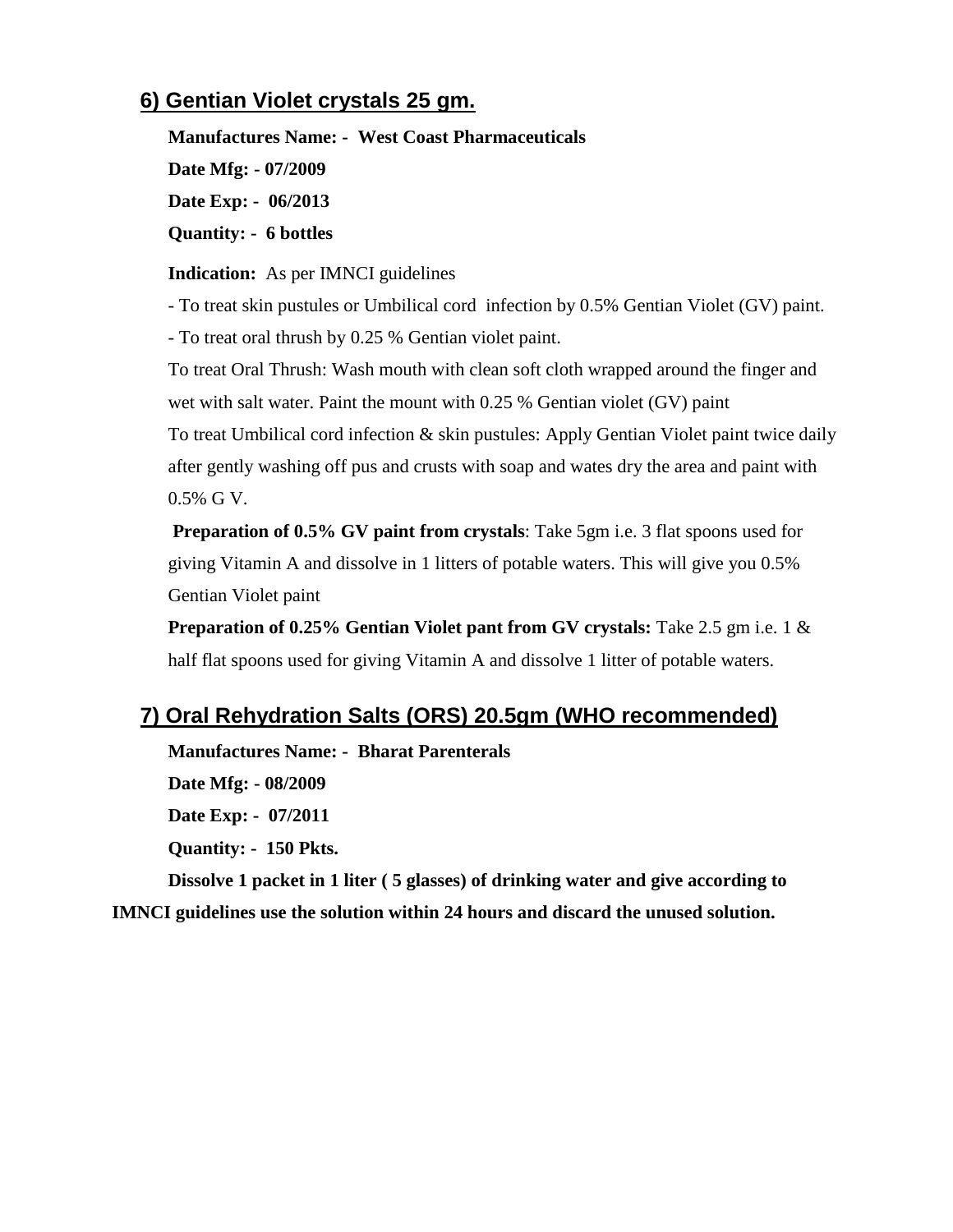# **6) Gentian Violet crystals 25 gm.**

**Manufactures Name: - West Coast Pharmaceuticals Date Mfg: - 07/2009 Date Exp: - 06/2013 Quantity: - 6 bottles**

**Indication:** As per IMNCI guidelines

- To treat skin pustules or Umbilical cord infection by 0.5% Gentian Violet (GV) paint.

- To treat oral thrush by 0.25 % Gentian violet paint.

To treat Oral Thrush: Wash mouth with clean soft cloth wrapped around the finger and wet with salt water. Paint the mount with 0.25 % Gentian violet (GV) paint

To treat Umbilical cord infection  $\&$  skin pustules: Apply Gentian Violet paint twice daily after gently washing off pus and crusts with soap and wates dry the area and paint with 0.5% G V.

**Preparation of 0.5% GV paint from crystals**: Take 5gm i.e. 3 flat spoons used for giving Vitamin A and dissolve in 1 litters of potable waters. This will give you 0.5% Gentian Violet paint

**Preparation of 0.25% Gentian Violet pant from GV crystals:** Take 2.5 gm i.e. 1 & half flat spoons used for giving Vitamin A and dissolve 1 litter of potable waters.

# **7) Oral Rehydration Salts (ORS) 20.5gm (WHO recommended)**

**Manufactures Name: - Bharat Parenterals** 

**Date Mfg: - 08/2009 Date Exp: - 07/2011 Quantity: - 150 Pkts.**

**Dissolve 1 packet in 1 liter ( 5 glasses) of drinking water and give according to IMNCI guidelines use the solution within 24 hours and discard the unused solution.**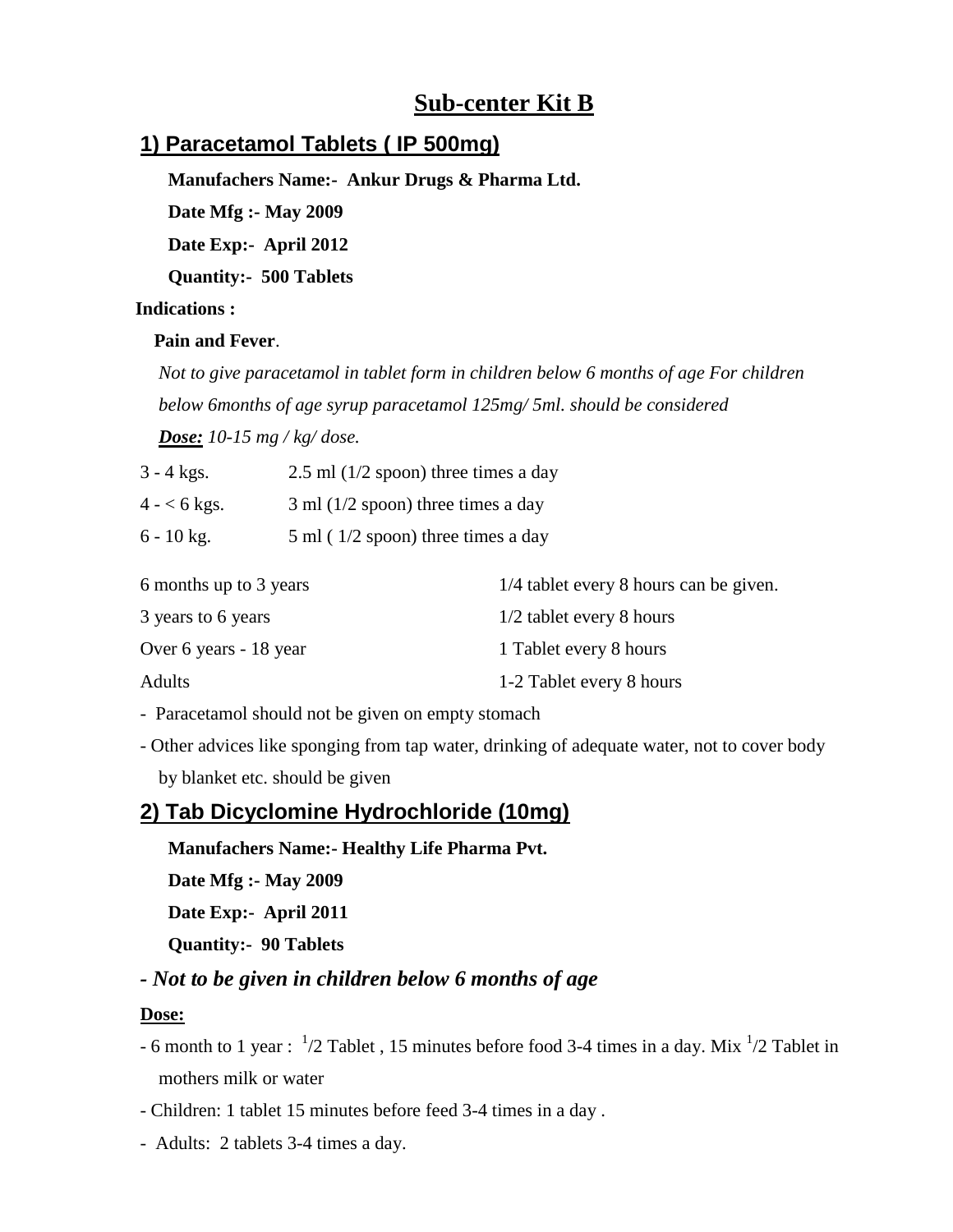# **Sub-center Kit B**

# **1) Paracetamol Tablets ( IP 500mg)**

**Manufachers Name:- Ankur Drugs & Pharma Ltd.**

**Date Mfg :- May 2009**

**Date Exp:- April 2012**

**Quantity:- 500 Tablets** 

 **Indications :**

#### **Pain and Fever**.

 *Not to give paracetamol in tablet form in children below 6 months of age For children below 6months of age syrup paracetamol 125mg/ 5ml. should be considered* 

 *Dose: 10-15 mg / kg/ dose.*

| $3 - 4$ kgs. | $2.5$ ml ( $1/2$ spoon) three times a day |  |
|--------------|-------------------------------------------|--|
|              |                                           |  |

 $4 - 6$  kgs.  $3 \text{ ml} (1/2 \text{ spoon})$  three times a day

 $6 - 10$  kg.  $5$  ml ( $1/2$  spoon) three times a day

| 6 months up to 3 years | 1/4 tablet every 8 hours can be given. |
|------------------------|----------------------------------------|
| 3 years to 6 years     | $1/2$ tablet every 8 hours             |
| Over 6 years - 18 year | 1 Tablet every 8 hours                 |
| <b>Adults</b>          | 1-2 Tablet every 8 hours               |

- Paracetamol should not be given on empty stomach

- Other advices like sponging from tap water, drinking of adequate water, not to cover body by blanket etc. should be given

# **2) Tab Dicyclomine Hydrochloride (10mg)**

**Manufachers Name:- Healthy Life Pharma Pvt.**

**Date Mfg :- May 2009**

**Date Exp:- April 2011**

**Quantity:- 90 Tablets**

## *- Not to be given in children below 6 months of age*

#### **Dose:**

- 6 month to 1 year :  $\frac{1}{2}$  Tablet, 15 minutes before food 3-4 times in a day. Mix  $\frac{1}{2}$  Tablet in mothers milk or water
- Children: 1 tablet 15 minutes before feed 3-4 times in a day .
- Adults: 2 tablets 3-4 times a day.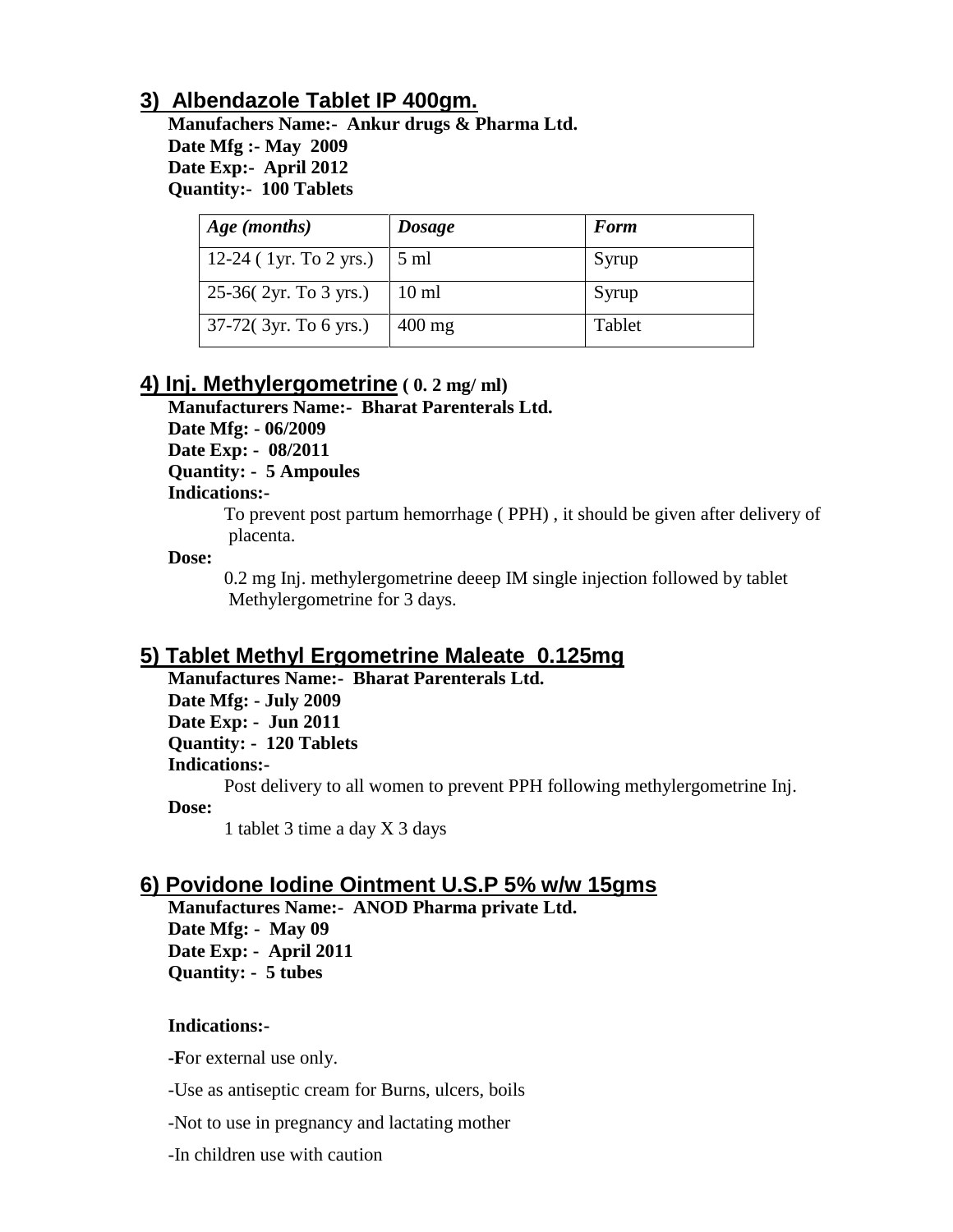# **3) Albendazole Tablet IP 400gm.**

**Manufachers Name:- Ankur drugs & Pharma Ltd. Date Mfg :- May 2009 Date Exp:- April 2012 Quantity:- 100 Tablets** 

| Age (months)           | <b>Dosage</b>   | <b>Form</b> |
|------------------------|-----------------|-------------|
| 12-24 (1yr. To 2 yrs.) | $5 \text{ ml}$  | Syrup       |
| 25-36(2yr. To 3 yrs.)  | $10 \text{ ml}$ | Syrup       |
| 37-72(3yr. To 6 yrs.)  | $400$ mg        | Tablet      |

# **4) Inj. Methylergometrine ( 0. 2 mg/ ml)**

**Manufacturers Name:- Bharat Parenterals Ltd.** 

**Date Mfg: - 06/2009**

**Date Exp: - 08/2011**

**Quantity: - 5 Ampoules**

#### **Indications:-**

To prevent post partum hemorrhage ( PPH) , it should be given after delivery of placenta.

**Dose:**

 0.2 mg Inj. methylergometrine deeep IM single injection followed by tablet Methylergometrine for 3 days.

# **5) Tablet Methyl Ergometrine Maleate 0.125mg**

**Manufactures Name:- Bharat Parenterals Ltd.**

**Date Mfg: - July 2009**

**Date Exp: - Jun 2011**

**Quantity: - 120 Tablets**

**Indications:-**

Post delivery to all women to prevent PPH following methylergometrine Inj.

**Dose:**

1 tablet 3 time a day X 3 days

# **6) Povidone Iodine Ointment U.S.P 5% w/w 15gms**

**Manufactures Name:- ANOD Pharma private Ltd. Date Mfg: - May 09 Date Exp: - April 2011 Quantity: - 5 tubes** 

### **Indications:-**

**-F**or external use only.

-Use as antiseptic cream for Burns, ulcers, boils

-Not to use in pregnancy and lactating mother

-In children use with caution